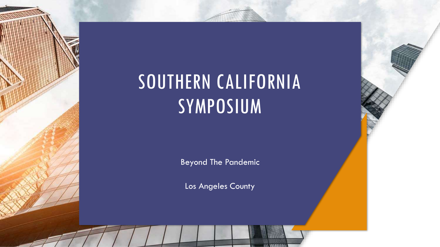# SOUTHERN CALIFORNIA SYMPOSIUM

Beyond The Pandemic

Los Angeles County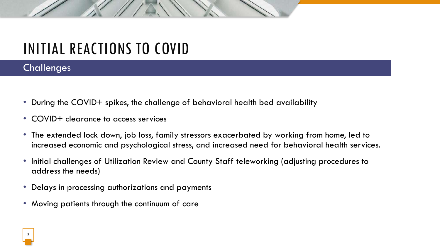## INITIAL REACTIONS TO COVID

#### **Challenges**

- During the COVID+ spikes, the challenge of behavioral health bed availability
- COVID+ clearance to access services
- The extended lock down, job loss, family stressors exacerbated by working from home, led to increased economic and psychological stress, and increased need for behavioral health services.
- Initial challenges of Utilization Review and County Staff teleworking (adjusting procedures to address the needs)
- Delays in processing authorizations and payments
- Moving patients through the continuum of care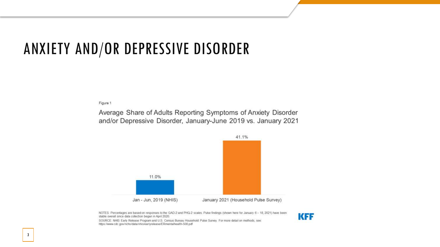### ANXIETY AND/OR DEPRESSIVE DISORDER

Figure 1

Average Share of Adults Reporting Symptoms of Anxiety Disorder and/or Depressive Disorder, January-June 2019 vs. January 2021



NOTES: Percentages are based on responses to the GAD-2 and PHQ-2 scales. Pulse findings (shown here for January 6 - 18, 2021) have been stable overall since data collection began in April 2020.



SOURCE: NHIS Early Release Program and U.S. Census Bureau Household Pulse Survey. For more detail on methods, see https://www.cdc.gov/nchs/data/nhis/earlyrelease/ERmentalhealth-508.pdf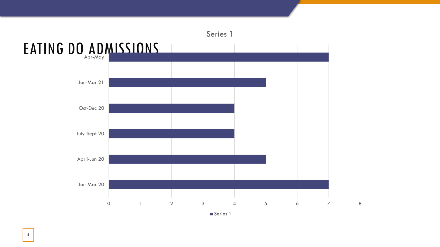

Series 1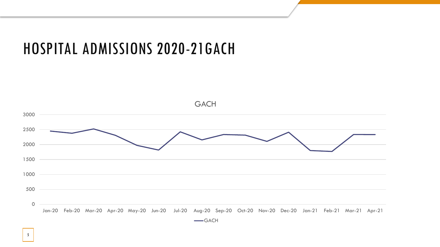#### HOSPITAL ADMISSIONS 2020-21GACH

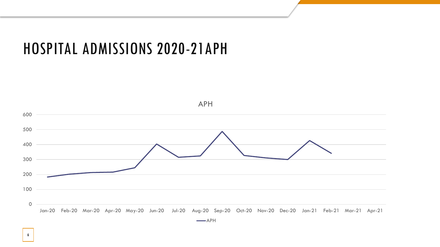#### HOSPITAL ADMISSIONS 2020-21APH



 $\longrightarrow$ APH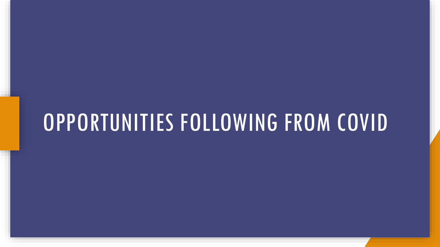# OPPORTUNITIES FOLLOWING FROM COVID